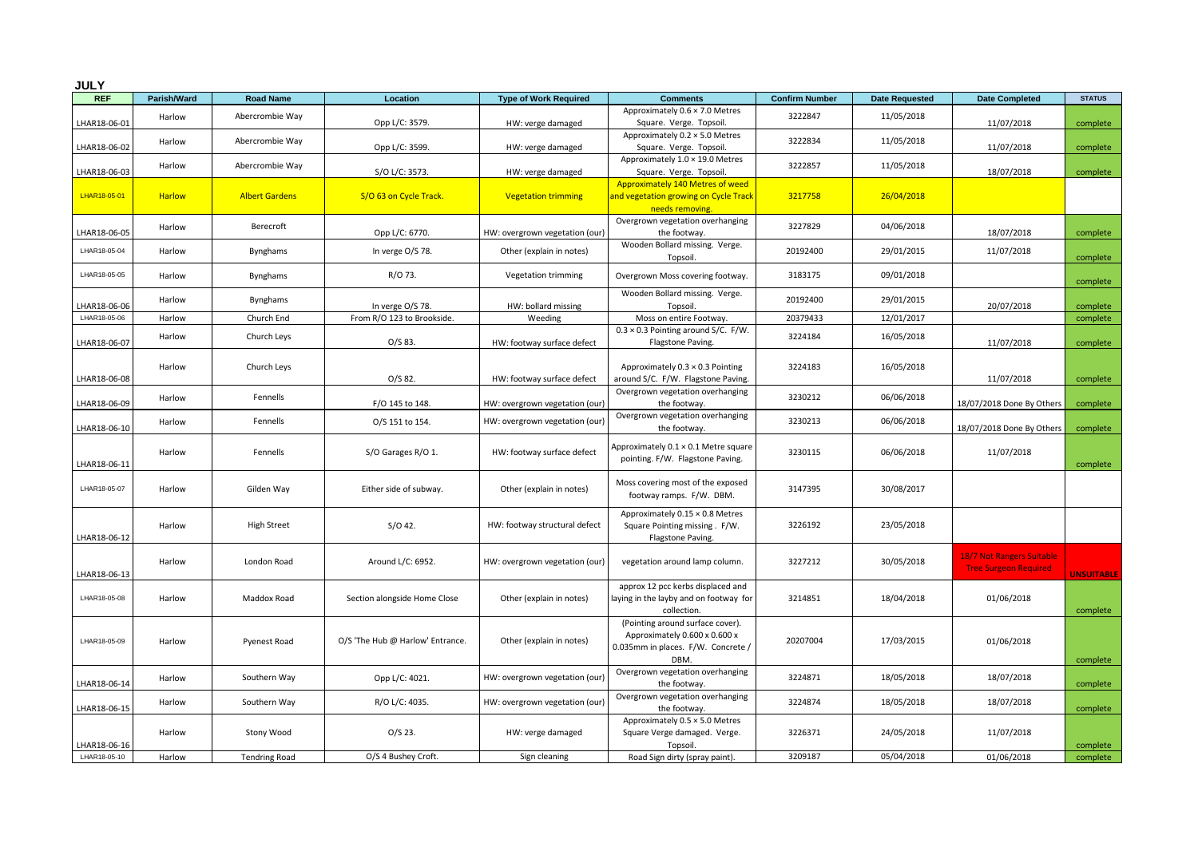| <b>JULY</b>  |               |                       |                                  |                                |                                                                                                                 |                       |                       |                                                           |               |  |
|--------------|---------------|-----------------------|----------------------------------|--------------------------------|-----------------------------------------------------------------------------------------------------------------|-----------------------|-----------------------|-----------------------------------------------------------|---------------|--|
| <b>REF</b>   | Parish/Ward   | <b>Road Name</b>      | Location                         | <b>Type of Work Required</b>   | <b>Comments</b>                                                                                                 | <b>Confirm Number</b> | <b>Date Requested</b> | <b>Date Completed</b>                                     | <b>STATUS</b> |  |
| LHAR18-06-01 | Harlow        | Abercrombie Way       | Opp L/C: 3579.                   | HW: verge damaged              | Approximately 0.6 × 7.0 Metres<br>Square. Verge. Topsoil.                                                       | 3222847               | 11/05/2018            | 11/07/2018                                                | complete      |  |
| LHAR18-06-02 | Harlow        | Abercrombie Way       | Opp L/C: 3599.                   | HW: verge damaged              | Approximately 0.2 × 5.0 Metres<br>Square. Verge. Topsoil.                                                       | 3222834               | 11/05/2018            | 11/07/2018                                                | complete      |  |
| LHAR18-06-03 | Harlow        | Abercrombie Way       | S/O L/C: 3573.                   | HW: verge damaged              | Approximately 1.0 × 19.0 Metres<br>Square. Verge. Topsoil.                                                      | 3222857               | 11/05/2018            | 18/07/2018                                                | complete      |  |
| LHAR18-05-01 | <b>Harlow</b> | <b>Albert Gardens</b> | S/O 63 on Cycle Track.           | <b>Vegetation trimming</b>     | Approximately 140 Metres of weed<br>and vegetation growing on Cycle Track<br>needs removing.                    | 3217758               | 26/04/2018            |                                                           |               |  |
| LHAR18-06-05 | Harlow        | Berecroft             | Opp L/C: 6770.                   | HW: overgrown vegetation (our) | Overgrown vegetation overhanging<br>the footway.                                                                | 3227829               | 04/06/2018            | 18/07/2018                                                | complete      |  |
| LHAR18-05-04 | Harlow        | Bynghams              | In verge O/S 78.                 | Other (explain in notes)       | Wooden Bollard missing. Verge.<br>Topsoil.                                                                      | 20192400              | 29/01/2015            | 11/07/2018                                                | complete      |  |
| LHAR18-05-05 | Harlow        | Bynghams              | R/O 73.                          | Vegetation trimming            | Overgrown Moss covering footway.                                                                                | 3183175               | 09/01/2018            |                                                           | complete      |  |
| LHAR18-06-06 | Harlow        | Bynghams              | In verge O/S 78.                 | HW: bollard missing            | Wooden Bollard missing. Verge.<br>Topsoil.                                                                      | 20192400              | 29/01/2015            | 20/07/2018                                                | complete      |  |
| LHAR18-05-06 | Harlow        | Church End            | From R/O 123 to Brookside.       | Weeding                        | Moss on entire Footway.                                                                                         | 20379433              | 12/01/2017            |                                                           | complete      |  |
| LHAR18-06-07 | Harlow        | Church Leys           | O/S 83.                          | HW: footway surface defect     | $0.3 \times 0.3$ Pointing around S/C. F/W.<br>Flagstone Paving.                                                 | 3224184               | 16/05/2018            | 11/07/2018                                                | complete      |  |
| LHAR18-06-08 | Harlow        | Church Leys           | O/S 82.                          | HW: footway surface defect     | Approximately $0.3 \times 0.3$ Pointing<br>around S/C. F/W. Flagstone Paving.                                   | 3224183               | 16/05/2018            | 11/07/2018                                                | complete      |  |
| LHAR18-06-09 | Harlow        | Fennells              | F/O 145 to 148.                  | HW: overgrown vegetation (our) | Overgrown vegetation overhanging<br>the footway.                                                                | 3230212               | 06/06/2018            | 18/07/2018 Done By Others                                 | complete      |  |
| LHAR18-06-10 | Harlow        | Fennells              | O/S 151 to 154.                  | HW: overgrown vegetation (our  | Overgrown vegetation overhanging<br>the footway.                                                                | 3230213               | 06/06/2018            | 18/07/2018 Done By Others                                 | complete      |  |
| LHAR18-06-11 | Harlow        | Fennells              | S/O Garages R/O 1.               | HW: footway surface defect     | Approximately $0.1 \times 0.1$ Metre square<br>pointing. F/W. Flagstone Paving.                                 | 3230115               | 06/06/2018            | 11/07/2018                                                | complete      |  |
| LHAR18-05-07 | Harlow        | Gilden Way            | Either side of subway.           | Other (explain in notes)       | Moss covering most of the exposed<br>footway ramps. F/W. DBM.                                                   | 3147395               | 30/08/2017            |                                                           |               |  |
| LHAR18-06-12 | Harlow        | <b>High Street</b>    | $S/O$ 42.                        | HW: footway structural defect  | Approximately 0.15 × 0.8 Metres<br>Square Pointing missing . F/W.<br>Flagstone Paving.                          | 3226192               | 23/05/2018            |                                                           |               |  |
| LHAR18-06-13 | Harlow        | London Road           | Around L/C: 6952.                | HW: overgrown vegetation (our) | vegetation around lamp column.                                                                                  | 3227212               | 30/05/2018            | 18/7 Not Rangers Suitable<br><b>Tree Surgeon Required</b> | UNSUITABLE    |  |
| LHAR18-05-08 | Harlow        | Maddox Road           | Section alongside Home Close     | Other (explain in notes)       | approx 12 pcc kerbs displaced and<br>laying in the layby and on footway for<br>collection.                      | 3214851               | 18/04/2018            | 01/06/2018                                                | complete      |  |
| LHAR18-05-09 | Harlow        | Pyenest Road          | O/S 'The Hub @ Harlow' Entrance. | Other (explain in notes)       | (Pointing around surface cover).<br>Approximately 0.600 x 0.600 x<br>0.035mm in places. F/W. Concrete /<br>DBM. | 20207004              | 17/03/2015            | 01/06/2018                                                | complete      |  |
| LHAR18-06-14 | Harlow        | Southern Way          | Opp L/C: 4021.                   | HW: overgrown vegetation (our  | Overgrown vegetation overhanging<br>the footway.                                                                | 3224871               | 18/05/2018            | 18/07/2018                                                | complete      |  |
| LHAR18-06-15 | Harlow        | Southern Way          | R/O L/C: 4035.                   | HW: overgrown vegetation (our) | Overgrown vegetation overhanging<br>the footway.                                                                | 3224874               | 18/05/2018            | 18/07/2018                                                | complete      |  |
| LHAR18-06-16 | Harlow        | Stony Wood            | $O/S$ 23.                        | HW: verge damaged              | Approximately 0.5 × 5.0 Metres<br>Square Verge damaged. Verge.<br>Topsoil.                                      | 3226371               | 24/05/2018            | 11/07/2018                                                | complete      |  |
| LHAR18-05-10 | Harlow        | <b>Tendring Road</b>  | O/S 4 Bushey Croft.              | Sign cleaning                  | Road Sign dirty (spray paint).                                                                                  | 3209187               | 05/04/2018            | 01/06/2018                                                | complete      |  |